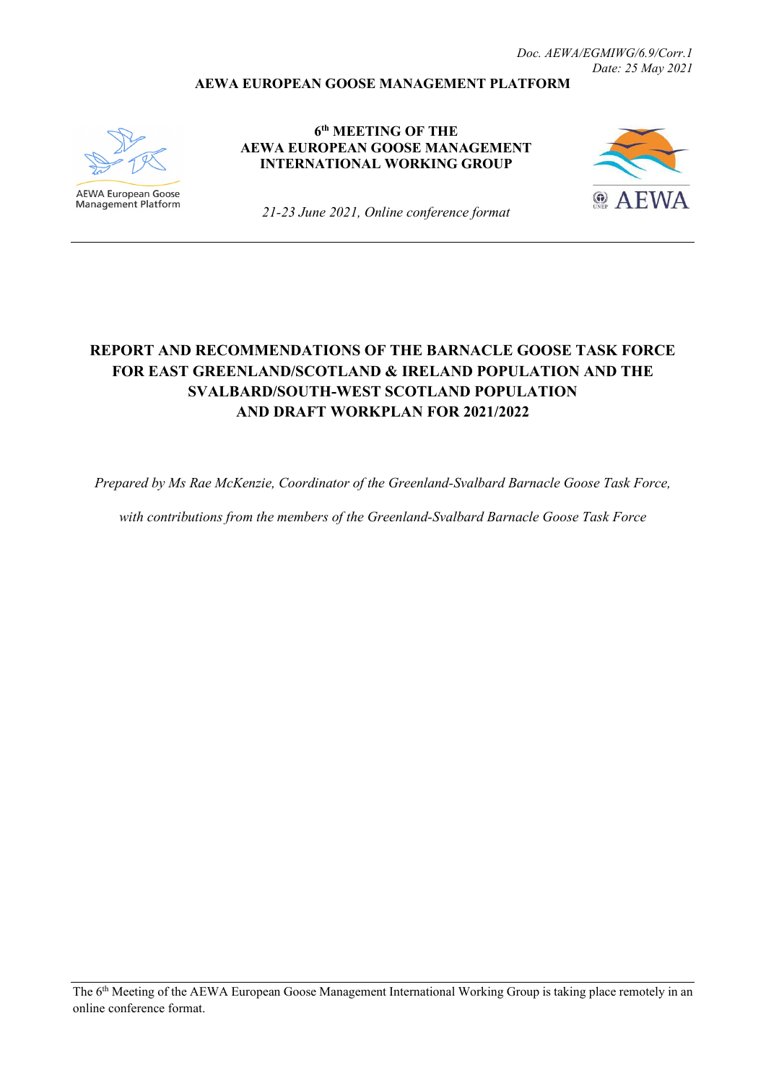#### **AEWA EUROPEAN GOOSE MANAGEMENT PLATFORM**



**AEWA European Goose** Management Platform

**6th MEETING OF THE AEWA EUROPEAN GOOSE MANAGEMENT INTERNATIONAL WORKING GROUP**



*21-23 June 2021, Online conference format*

# **REPORT AND RECOMMENDATIONS OF THE BARNACLE GOOSE TASK FORCE FOR EAST GREENLAND/SCOTLAND & IRELAND POPULATION AND THE SVALBARD/SOUTH-WEST SCOTLAND POPULATION AND DRAFT WORKPLAN FOR 2021/2022**

*Prepared by Ms Rae McKenzie, Coordinator of the Greenland-Svalbard Barnacle Goose Task Force,* 

*with contributions from the members of the Greenland-Svalbard Barnacle Goose Task Force*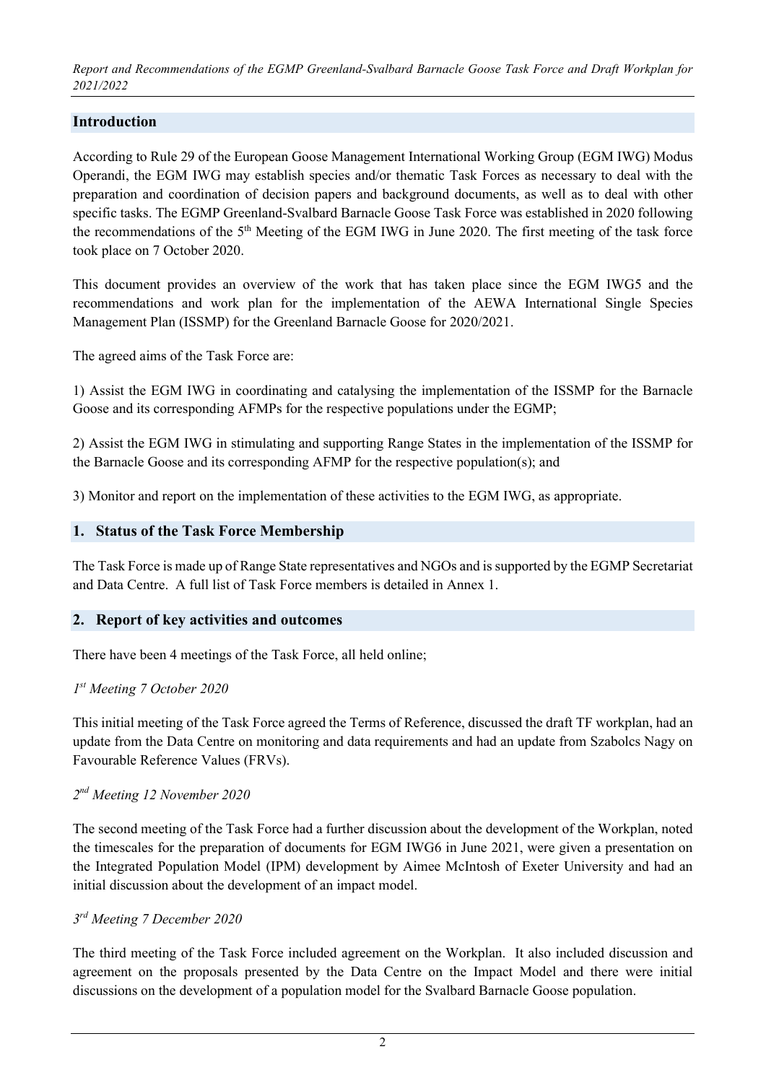### **Introduction**

According to Rule 29 of the European Goose Management International Working Group (EGM IWG) Modus Operandi, the EGM IWG may establish species and/or thematic Task Forces as necessary to deal with the preparation and coordination of decision papers and background documents, as well as to deal with other specific tasks. The EGMP Greenland-Svalbard Barnacle Goose Task Force was established in 2020 following the recommendations of the 5<sup>th</sup> Meeting of the EGM IWG in June 2020. The first meeting of the task force took place on 7 October 2020.

This document provides an overview of the work that has taken place since the EGM IWG5 and the recommendations and work plan for the implementation of the AEWA International Single Species Management Plan (ISSMP) for the Greenland Barnacle Goose for 2020/2021.

The agreed aims of the Task Force are:

1) Assist the EGM IWG in coordinating and catalysing the implementation of the ISSMP for the Barnacle Goose and its corresponding AFMPs for the respective populations under the EGMP;

2) Assist the EGM IWG in stimulating and supporting Range States in the implementation of the ISSMP for the Barnacle Goose and its corresponding AFMP for the respective population(s); and

3) Monitor and report on the implementation of these activities to the EGM IWG, as appropriate.

#### **1. Status of the Task Force Membership**

The Task Force is made up of Range State representatives and NGOs and is supported by the EGMP Secretariat and Data Centre. A full list of Task Force members is detailed in Annex 1.

### **2. Report of key activities and outcomes**

There have been 4 meetings of the Task Force, all held online;

#### *1st Meeting 7 October 2020*

This initial meeting of the Task Force agreed the Terms of Reference, discussed the draft TF workplan, had an update from the Data Centre on monitoring and data requirements and had an update from Szabolcs Nagy on Favourable Reference Values (FRVs).

### *2nd Meeting 12 November 2020*

The second meeting of the Task Force had a further discussion about the development of the Workplan, noted the timescales for the preparation of documents for EGM IWG6 in June 2021, were given a presentation on the Integrated Population Model (IPM) development by Aimee McIntosh of Exeter University and had an initial discussion about the development of an impact model.

#### *3rd Meeting 7 December 2020*

The third meeting of the Task Force included agreement on the Workplan. It also included discussion and agreement on the proposals presented by the Data Centre on the Impact Model and there were initial discussions on the development of a population model for the Svalbard Barnacle Goose population.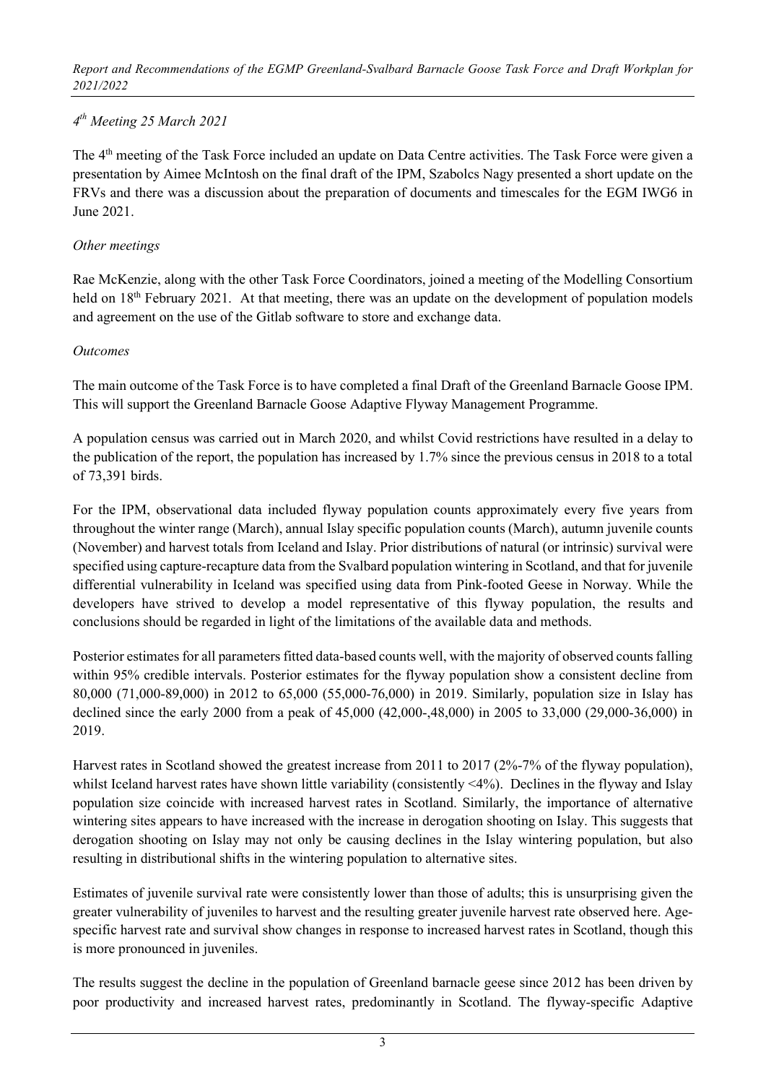### *4th Meeting 25 March 2021*

The 4<sup>th</sup> meeting of the Task Force included an update on Data Centre activities. The Task Force were given a presentation by Aimee McIntosh on the final draft of the IPM, Szabolcs Nagy presented a short update on the FRVs and there was a discussion about the preparation of documents and timescales for the EGM IWG6 in June 2021.

### *Other meetings*

Rae McKenzie, along with the other Task Force Coordinators, joined a meeting of the Modelling Consortium held on 18<sup>th</sup> February 2021. At that meeting, there was an update on the development of population models and agreement on the use of the Gitlab software to store and exchange data.

### *Outcomes*

The main outcome of the Task Force is to have completed a final Draft of the Greenland Barnacle Goose IPM. This will support the Greenland Barnacle Goose Adaptive Flyway Management Programme.

A population census was carried out in March 2020, and whilst Covid restrictions have resulted in a delay to the publication of the report, the population has increased by 1.7% since the previous census in 2018 to a total of 73,391 birds.

For the IPM, observational data included flyway population counts approximately every five years from throughout the winter range (March), annual Islay specific population counts (March), autumn juvenile counts (November) and harvest totals from Iceland and Islay. Prior distributions of natural (or intrinsic) survival were specified using capture-recapture data from the Svalbard population wintering in Scotland, and that for juvenile differential vulnerability in Iceland was specified using data from Pink-footed Geese in Norway. While the developers have strived to develop a model representative of this flyway population, the results and conclusions should be regarded in light of the limitations of the available data and methods.

Posterior estimates for all parameters fitted data-based counts well, with the majority of observed counts falling within 95% credible intervals. Posterior estimates for the flyway population show a consistent decline from 80,000 (71,000-89,000) in 2012 to 65,000 (55,000-76,000) in 2019. Similarly, population size in Islay has declined since the early 2000 from a peak of 45,000 (42,000-,48,000) in 2005 to 33,000 (29,000-36,000) in 2019.

Harvest rates in Scotland showed the greatest increase from 2011 to 2017 (2%-7% of the flyway population), whilst Iceland harvest rates have shown little variability (consistently <4%). Declines in the flyway and Islay population size coincide with increased harvest rates in Scotland. Similarly, the importance of alternative wintering sites appears to have increased with the increase in derogation shooting on Islay. This suggests that derogation shooting on Islay may not only be causing declines in the Islay wintering population, but also resulting in distributional shifts in the wintering population to alternative sites.

Estimates of juvenile survival rate were consistently lower than those of adults; this is unsurprising given the greater vulnerability of juveniles to harvest and the resulting greater juvenile harvest rate observed here. Agespecific harvest rate and survival show changes in response to increased harvest rates in Scotland, though this is more pronounced in juveniles.

The results suggest the decline in the population of Greenland barnacle geese since 2012 has been driven by poor productivity and increased harvest rates, predominantly in Scotland. The flyway-specific Adaptive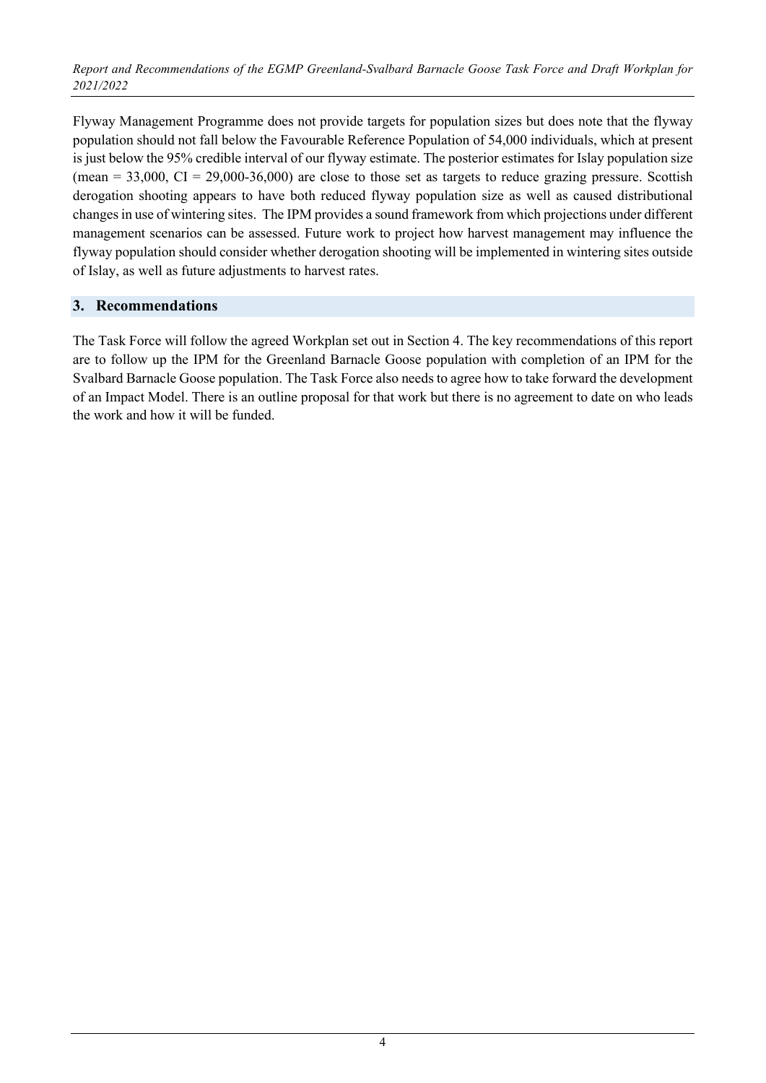Flyway Management Programme does not provide targets for population sizes but does note that the flyway population should not fall below the Favourable Reference Population of 54,000 individuals, which at present is just below the 95% credible interval of our flyway estimate. The posterior estimates for Islay population size (mean  $= 33,000$ , CI  $= 29,000-36,000$ ) are close to those set as targets to reduce grazing pressure. Scottish derogation shooting appears to have both reduced flyway population size as well as caused distributional changes in use of wintering sites. The IPM provides a sound framework from which projections under different management scenarios can be assessed. Future work to project how harvest management may influence the flyway population should consider whether derogation shooting will be implemented in wintering sites outside of Islay, as well as future adjustments to harvest rates.

### **3. Recommendations**

The Task Force will follow the agreed Workplan set out in Section 4. The key recommendations of this report are to follow up the IPM for the Greenland Barnacle Goose population with completion of an IPM for the Svalbard Barnacle Goose population. The Task Force also needs to agree how to take forward the development of an Impact Model. There is an outline proposal for that work but there is no agreement to date on who leads the work and how it will be funded.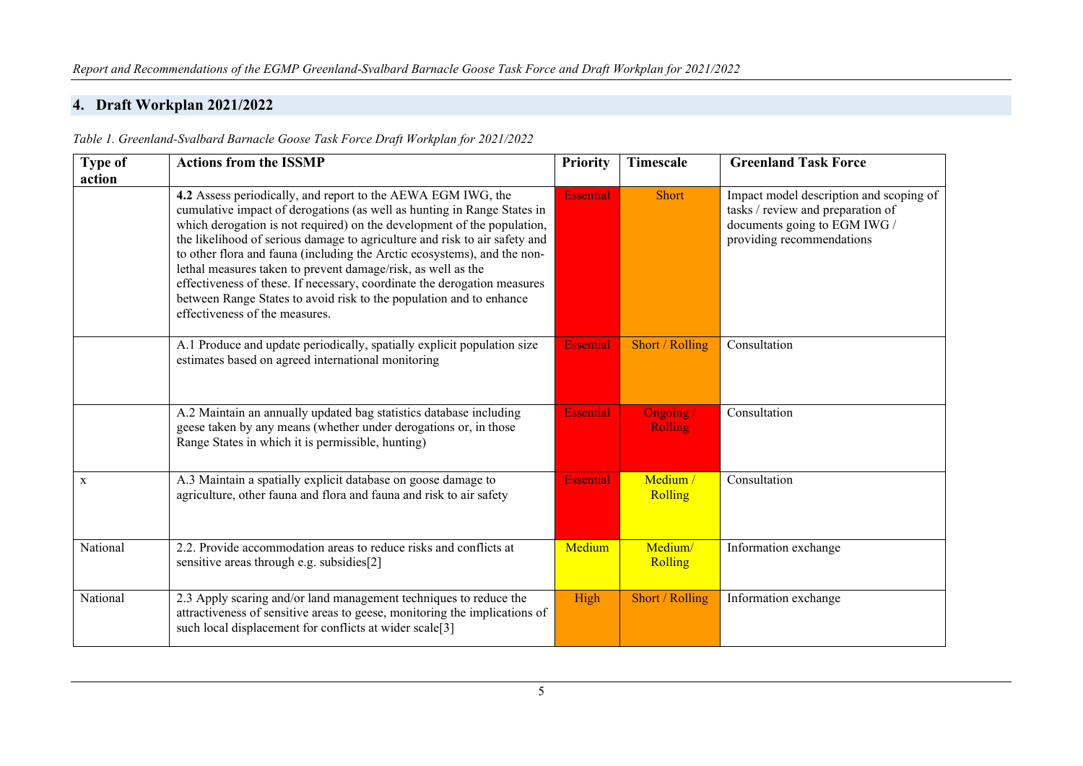### **4. Draft Workplan 2021/2022**

*Table 1. Greenland-Svalbard Barnacle Goose Task Force Draft Workplan for 2021/2022*

| <b>Type of</b> | <b>Actions from the ISSMP</b>                                                                                                                                                                                                                                                                                                                                                                                                                                                                                                                                                                                                     | <b>Priority</b>  | Timescale                  | <b>Greenland Task Force</b>                                                                                                               |
|----------------|-----------------------------------------------------------------------------------------------------------------------------------------------------------------------------------------------------------------------------------------------------------------------------------------------------------------------------------------------------------------------------------------------------------------------------------------------------------------------------------------------------------------------------------------------------------------------------------------------------------------------------------|------------------|----------------------------|-------------------------------------------------------------------------------------------------------------------------------------------|
| action         |                                                                                                                                                                                                                                                                                                                                                                                                                                                                                                                                                                                                                                   |                  |                            |                                                                                                                                           |
|                | 4.2 Assess periodically, and report to the AEWA EGM IWG, the<br>cumulative impact of derogations (as well as hunting in Range States in<br>which derogation is not required) on the development of the population,<br>the likelihood of serious damage to agriculture and risk to air safety and<br>to other flora and fauna (including the Arctic ecosystems), and the non-<br>lethal measures taken to prevent damage/risk, as well as the<br>effectiveness of these. If necessary, coordinate the derogation measures<br>between Range States to avoid risk to the population and to enhance<br>effectiveness of the measures. | <b>Essential</b> | <b>Short</b>               | Impact model description and scoping of<br>tasks / review and preparation of<br>documents going to EGM IWG /<br>providing recommendations |
|                | A.1 Produce and update periodically, spatially explicit population size<br>estimates based on agreed international monitoring                                                                                                                                                                                                                                                                                                                                                                                                                                                                                                     | <b>Essential</b> | Short / Rolling            | Consultation                                                                                                                              |
|                | A.2 Maintain an annually updated bag statistics database including<br>geese taken by any means (whether under derogations or, in those<br>Range States in which it is permissible, hunting)                                                                                                                                                                                                                                                                                                                                                                                                                                       | <b>Essential</b> | Ongoing/<br><b>Rolling</b> | Consultation                                                                                                                              |
| $\mathbf X$    | A.3 Maintain a spatially explicit database on goose damage to<br>agriculture, other fauna and flora and fauna and risk to air safety                                                                                                                                                                                                                                                                                                                                                                                                                                                                                              | <b>Essential</b> | Medium /<br>Rolling        | Consultation                                                                                                                              |
| National       | 2.2. Provide accommodation areas to reduce risks and conflicts at<br>sensitive areas through e.g. subsidies[2]                                                                                                                                                                                                                                                                                                                                                                                                                                                                                                                    | Medium           | Medium/<br>Rolling         | Information exchange                                                                                                                      |
| National       | 2.3 Apply scaring and/or land management techniques to reduce the<br>attractiveness of sensitive areas to geese, monitoring the implications of<br>such local displacement for conflicts at wider scale[3]                                                                                                                                                                                                                                                                                                                                                                                                                        | High             | Short / Rolling            | Information exchange                                                                                                                      |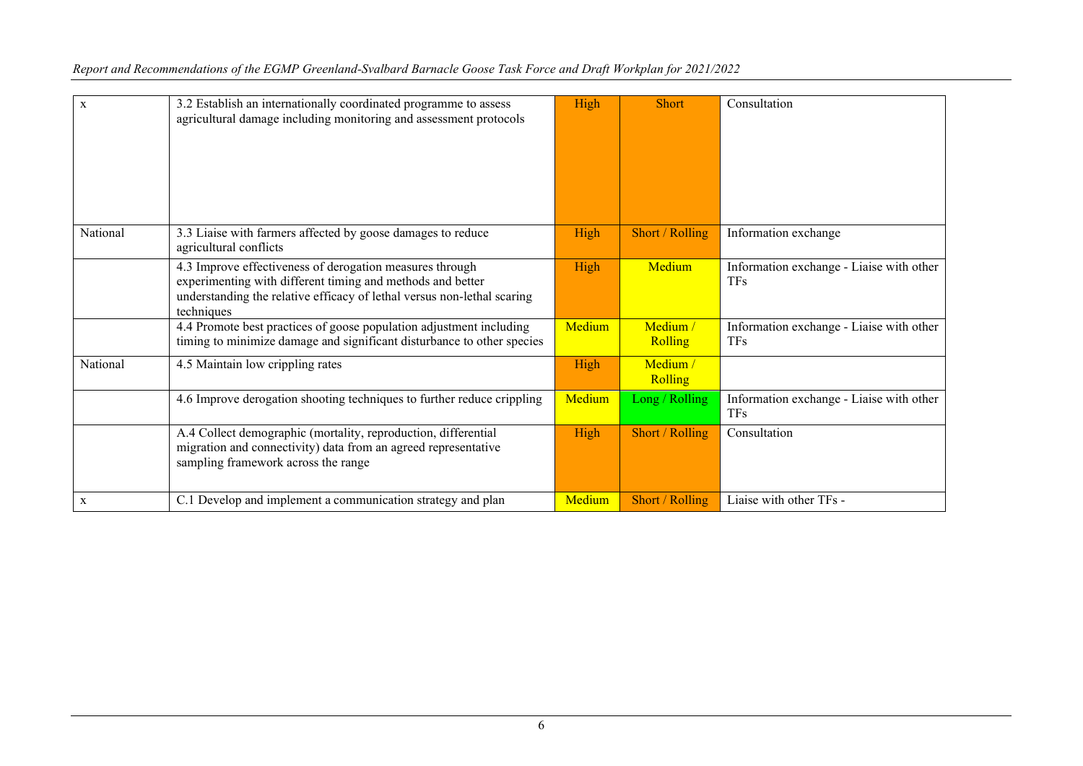| $\mathbf{x}$ | 3.2 Establish an internationally coordinated programme to assess<br>agricultural damage including monitoring and assessment protocols                                                                           | High   | Short               | Consultation                                           |
|--------------|-----------------------------------------------------------------------------------------------------------------------------------------------------------------------------------------------------------------|--------|---------------------|--------------------------------------------------------|
| National     | 3.3 Liaise with farmers affected by goose damages to reduce<br>agricultural conflicts                                                                                                                           | High   | Short / Rolling     | Information exchange                                   |
|              | 4.3 Improve effectiveness of derogation measures through<br>experimenting with different timing and methods and better<br>understanding the relative efficacy of lethal versus non-lethal scaring<br>techniques | High   | Medium              | Information exchange - Liaise with other<br><b>TFs</b> |
|              | 4.4 Promote best practices of goose population adjustment including<br>timing to minimize damage and significant disturbance to other species                                                                   | Medium | Medium /<br>Rolling | Information exchange - Liaise with other<br><b>TFs</b> |
| National     | 4.5 Maintain low crippling rates                                                                                                                                                                                | High   | Medium /<br>Rolling |                                                        |
|              | 4.6 Improve derogation shooting techniques to further reduce crippling                                                                                                                                          | Medium | Long / Rolling      | Information exchange - Liaise with other<br><b>TFs</b> |
|              | A.4 Collect demographic (mortality, reproduction, differential<br>migration and connectivity) data from an agreed representative<br>sampling framework across the range                                         | High   | Short / Rolling     | Consultation                                           |
| $\mathbf{X}$ | C.1 Develop and implement a communication strategy and plan                                                                                                                                                     | Medium | Short / Rolling     | Liaise with other TFs -                                |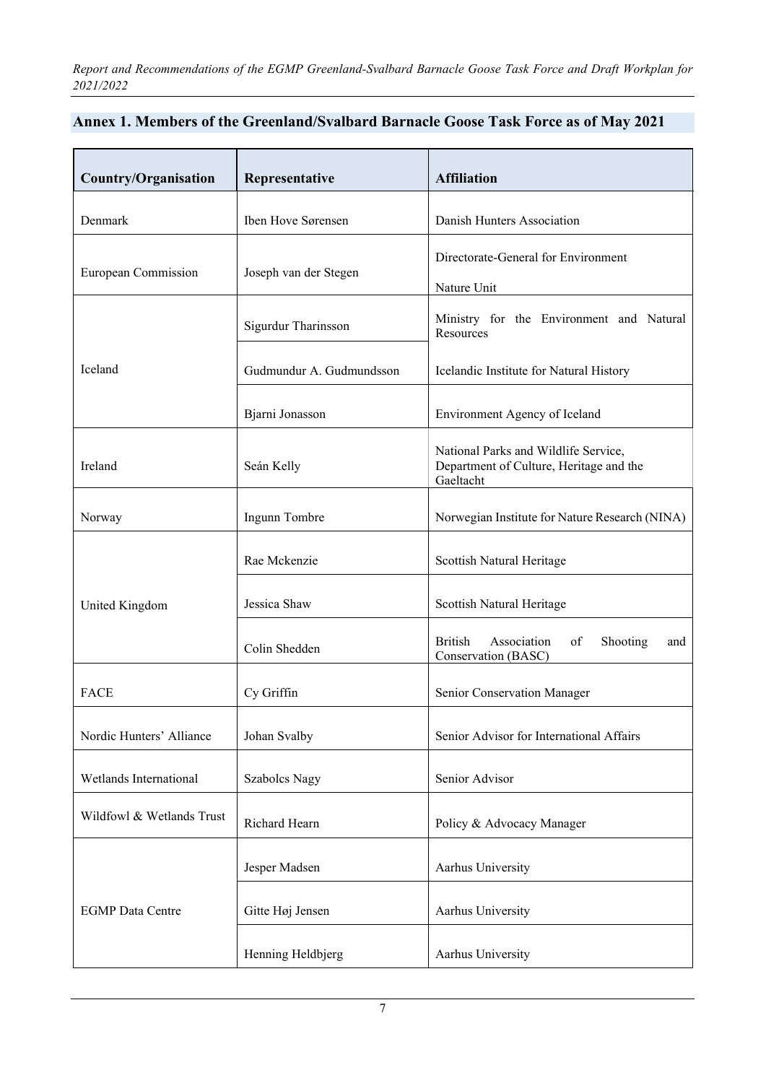## **Annex 1. Members of the Greenland/Svalbard Barnacle Goose Task Force as of May 2021**

| <b>Country/Organisation</b> | Representative           | <b>Affiliation</b>                                                                           |  |
|-----------------------------|--------------------------|----------------------------------------------------------------------------------------------|--|
| Denmark                     | Iben Hove Sørensen       | Danish Hunters Association                                                                   |  |
| European Commission         | Joseph van der Stegen    | Directorate-General for Environment<br>Nature Unit                                           |  |
|                             | Sigurdur Tharinsson      | Ministry for the Environment and Natural<br>Resources                                        |  |
| Iceland                     | Gudmundur A. Gudmundsson | Icelandic Institute for Natural History                                                      |  |
|                             | Bjarni Jonasson          | Environment Agency of Iceland                                                                |  |
| Ireland                     | Seán Kelly               | National Parks and Wildlife Service,<br>Department of Culture, Heritage and the<br>Gaeltacht |  |
| Norway                      | Ingunn Tombre            | Norwegian Institute for Nature Research (NINA)                                               |  |
|                             | Rae Mckenzie             | Scottish Natural Heritage                                                                    |  |
| United Kingdom              | Jessica Shaw             | Scottish Natural Heritage                                                                    |  |
|                             | Colin Shedden            | <b>British</b><br>Association<br>of<br><b>Shooting</b><br>and<br>Conservation (BASC)         |  |
| <b>FACE</b>                 | Cy Griffin               | Senior Conservation Manager                                                                  |  |
| Nordic Hunters' Alliance    | Johan Svalby             | Senior Advisor for International Affairs                                                     |  |
| Wetlands International      | <b>Szabolcs Nagy</b>     | Senior Advisor                                                                               |  |
| Wildfowl & Wetlands Trust   | Richard Hearn            | Policy & Advocacy Manager                                                                    |  |
|                             | Jesper Madsen            | Aarhus University                                                                            |  |
| <b>EGMP</b> Data Centre     | Gitte Høj Jensen         | Aarhus University                                                                            |  |
|                             | Henning Heldbjerg        | Aarhus University                                                                            |  |